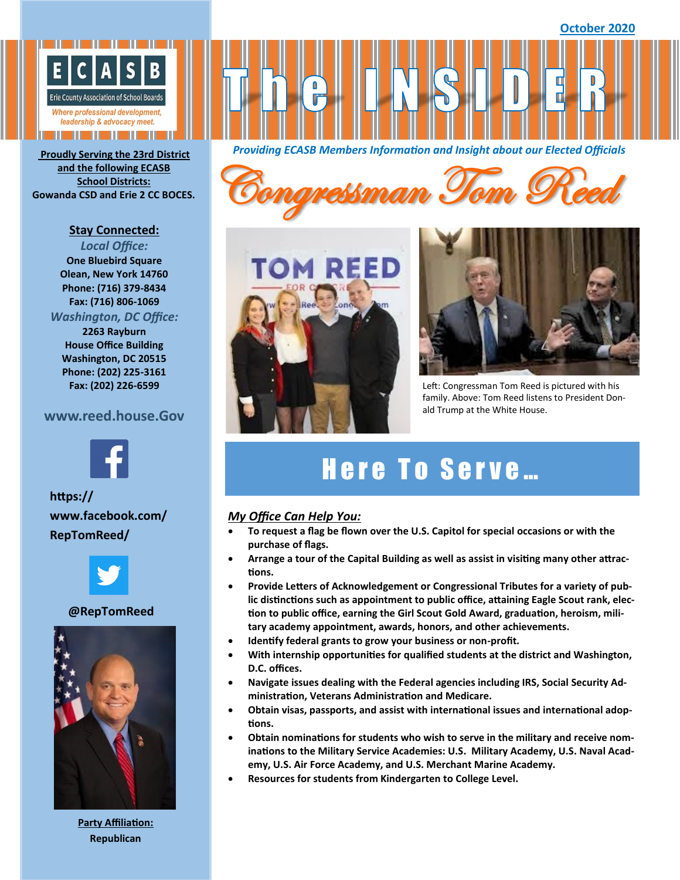

**and the following ECASB School Districts:**

#### **Stay Connected:**

*Local Office:* **One Bluebird Square Olean, New York 14760 Phone: (716) 379-8434 Fax: (716) 806-1069**

### *Washington, DC Office:*

**2263 Rayburn House Office Building Washington, DC 20515 Phone: (202) 225-3161 Fax: (202) 226-6599**

## **www.reed.house.Gov**



**https:// www.facebook.com/ RepTomReed/**



#### **@RepTomReed**



**Party Affiliation: Republican**

*Providing ECASB Members Information and Insight about our Elected Officials* **Proudly Serving the 23rd District** 







Left: Congressman Tom Reed is pictured with his family. Above: Tom Reed listens to President Donald Trump at the White House.

# Here To Serve...

#### *My Office Can Help You:*

- **To request a flag be flown over the U.S. Capitol for special occasions or with the purchase of flags.**
- **Arrange a tour of the Capital Building as well as assist in visiting many other attractions.**
- **Provide Letters of Acknowledgement or Congressional Tributes for a variety of public distinctions such as appointment to public office, attaining Eagle Scout rank, election to public office, earning the Girl Scout Gold Award, graduation, heroism, military academy appointment, awards, honors, and other achievements.**
- **Identify federal grants to grow your business or non-profit.**
- **With internship opportunities for qualified students at the district and Washington, D.C. offices.**
- **Navigate issues dealing with the Federal agencies including IRS, Social Security Administration, Veterans Administration and Medicare.**
- **Obtain visas, passports, and assist with international issues and international adoptions.**
- **Obtain nominations for students who wish to serve in the military and receive nominations to the Military Service Academies: U.S. Military Academy, U.S. Naval Academy, U.S. Air Force Academy, and U.S. Merchant Marine Academy.**
- **Resources for students from Kindergarten to College Level.**